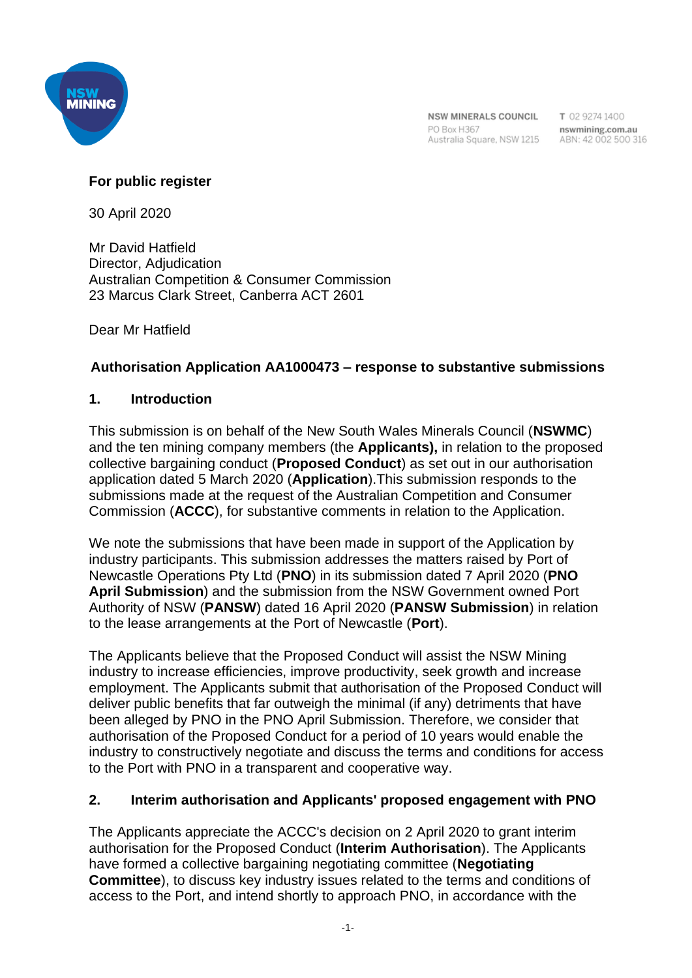

T 02 9274 1400

## **For public register**

30 April 2020

Mr David Hatfield Director, Adjudication Australian Competition & Consumer Commission 23 Marcus Clark Street, Canberra ACT 2601

Dear Mr Hatfield

# **Authorisation Application AA1000473 – response to substantive submissions**

### **1. Introduction**

This submission is on behalf of the New South Wales Minerals Council (**NSWMC**) and the ten mining company members (the **Applicants),** in relation to the proposed collective bargaining conduct (**Proposed Conduct**) as set out in our authorisation application dated 5 March 2020 (**Application**).This submission responds to the submissions made at the request of the Australian Competition and Consumer Commission (**ACCC**), for substantive comments in relation to the Application.

We note the submissions that have been made in support of the Application by industry participants. This submission addresses the matters raised by Port of Newcastle Operations Pty Ltd (**PNO**) in its submission dated 7 April 2020 (**PNO April Submission**) and the submission from the NSW Government owned Port Authority of NSW (**PANSW**) dated 16 April 2020 (**PANSW Submission**) in relation to the lease arrangements at the Port of Newcastle (**Port**).

The Applicants believe that the Proposed Conduct will assist the NSW Mining industry to increase efficiencies, improve productivity, seek growth and increase employment. The Applicants submit that authorisation of the Proposed Conduct will deliver public benefits that far outweigh the minimal (if any) detriments that have been alleged by PNO in the PNO April Submission. Therefore, we consider that authorisation of the Proposed Conduct for a period of 10 years would enable the industry to constructively negotiate and discuss the terms and conditions for access to the Port with PNO in a transparent and cooperative way.

## **2. Interim authorisation and Applicants' proposed engagement with PNO**

The Applicants appreciate the ACCC's decision on 2 April 2020 to grant interim authorisation for the Proposed Conduct (**Interim Authorisation**). The Applicants have formed a collective bargaining negotiating committee (**Negotiating Committee**), to discuss key industry issues related to the terms and conditions of access to the Port, and intend shortly to approach PNO, in accordance with the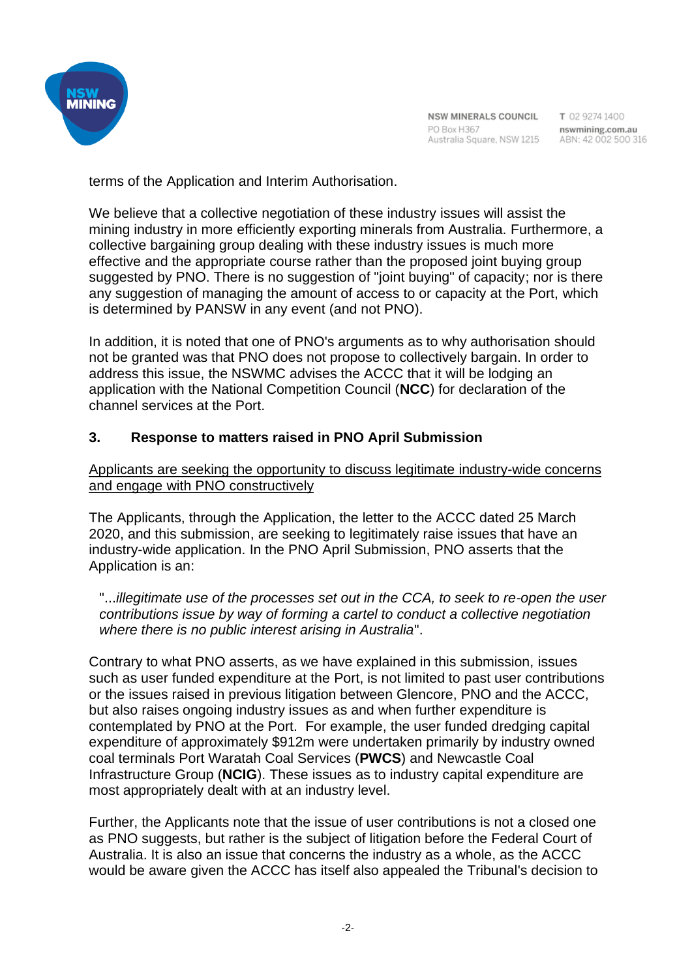

T 02 9274 1400

terms of the Application and Interim Authorisation.

We believe that a collective negotiation of these industry issues will assist the mining industry in more efficiently exporting minerals from Australia. Furthermore, a collective bargaining group dealing with these industry issues is much more effective and the appropriate course rather than the proposed joint buying group suggested by PNO. There is no suggestion of "joint buying" of capacity; nor is there any suggestion of managing the amount of access to or capacity at the Port, which is determined by PANSW in any event (and not PNO).

In addition, it is noted that one of PNO's arguments as to why authorisation should not be granted was that PNO does not propose to collectively bargain. In order to address this issue, the NSWMC advises the ACCC that it will be lodging an application with the National Competition Council (**NCC**) for declaration of the channel services at the Port.

### **3. Response to matters raised in PNO April Submission**

### Applicants are seeking the opportunity to discuss legitimate industry-wide concerns and engage with PNO constructively

The Applicants, through the Application, the letter to the ACCC dated 25 March 2020, and this submission, are seeking to legitimately raise issues that have an industry-wide application. In the PNO April Submission, PNO asserts that the Application is an:

"...*illegitimate use of the processes set out in the CCA, to seek to re-open the user contributions issue by way of forming a cartel to conduct a collective negotiation where there is no public interest arising in Australia*".

Contrary to what PNO asserts, as we have explained in this submission, issues such as user funded expenditure at the Port, is not limited to past user contributions or the issues raised in previous litigation between Glencore, PNO and the ACCC, but also raises ongoing industry issues as and when further expenditure is contemplated by PNO at the Port. For example, the user funded dredging capital expenditure of approximately \$912m were undertaken primarily by industry owned coal terminals Port Waratah Coal Services (**PWCS**) and Newcastle Coal Infrastructure Group (**NCIG**). These issues as to industry capital expenditure are most appropriately dealt with at an industry level.

Further, the Applicants note that the issue of user contributions is not a closed one as PNO suggests, but rather is the subject of litigation before the Federal Court of Australia. It is also an issue that concerns the industry as a whole, as the ACCC would be aware given the ACCC has itself also appealed the Tribunal's decision to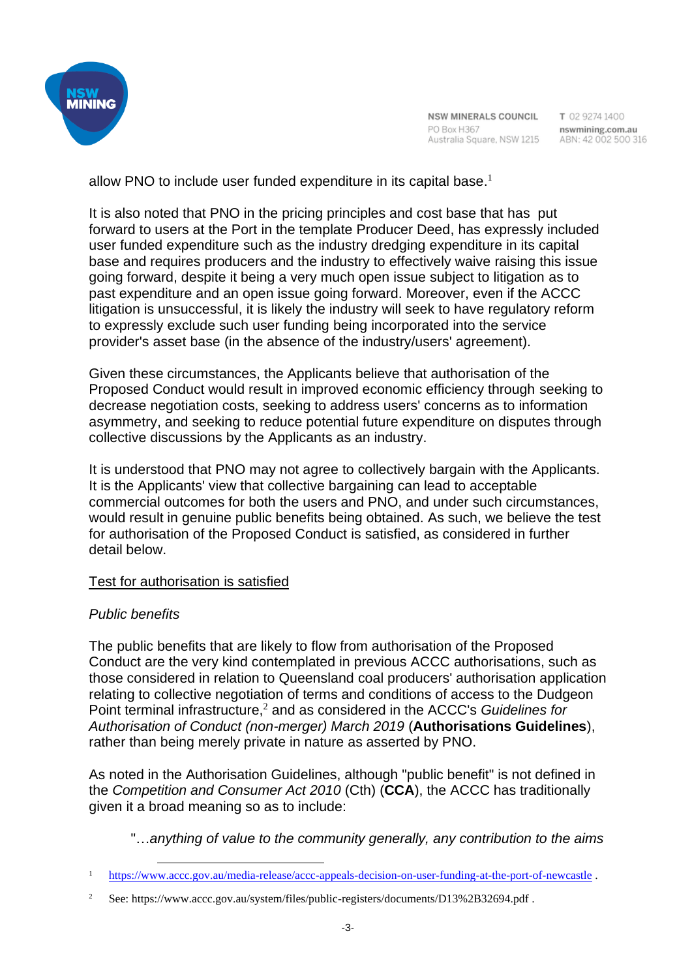

NSW MINERALS COUNCIL PO Box H367 Australia Square, NSW 1215 ABN: 42 002 500 316

T 02 9274 1400 nswmining.com.au

allow PNO to include user funded expenditure in its capital base.<sup>1</sup>

It is also noted that PNO in the pricing principles and cost base that has put forward to users at the Port in the template Producer Deed, has expressly included user funded expenditure such as the industry dredging expenditure in its capital base and requires producers and the industry to effectively waive raising this issue going forward, despite it being a very much open issue subject to litigation as to past expenditure and an open issue going forward. Moreover, even if the ACCC litigation is unsuccessful, it is likely the industry will seek to have regulatory reform to expressly exclude such user funding being incorporated into the service provider's asset base (in the absence of the industry/users' agreement).

Given these circumstances, the Applicants believe that authorisation of the Proposed Conduct would result in improved economic efficiency through seeking to decrease negotiation costs, seeking to address users' concerns as to information asymmetry, and seeking to reduce potential future expenditure on disputes through collective discussions by the Applicants as an industry.

It is understood that PNO may not agree to collectively bargain with the Applicants. It is the Applicants' view that collective bargaining can lead to acceptable commercial outcomes for both the users and PNO, and under such circumstances, would result in genuine public benefits being obtained. As such, we believe the test for authorisation of the Proposed Conduct is satisfied, as considered in further detail below.

## Test for authorisation is satisfied

## *Public benefits*

The public benefits that are likely to flow from authorisation of the Proposed Conduct are the very kind contemplated in previous ACCC authorisations, such as those considered in relation to Queensland coal producers' authorisation application relating to collective negotiation of terms and conditions of access to the Dudgeon Point terminal infrastructure,<sup>2</sup> and as considered in the ACCC's *Guidelines for Authorisation of Conduct (non-merger) March 2019* (**Authorisations Guidelines**), rather than being merely private in nature as asserted by PNO.

As noted in the Authorisation Guidelines, although "public benefit" is not defined in the *Competition and Consumer Act 2010* (Cth) (**CCA**), the ACCC has traditionally given it a broad meaning so as to include:

"…*anything of value to the community generally, any contribution to the aims* 

<sup>1</sup> https://www.accc.gov.au/media-release/accc-appeals-decision-on-user-funding-at-the-port-of-newcastle .

<sup>&</sup>lt;sup>2</sup> See: https://www.accc.gov.au/system/files/public-registers/documents/D13%2B32694.pdf.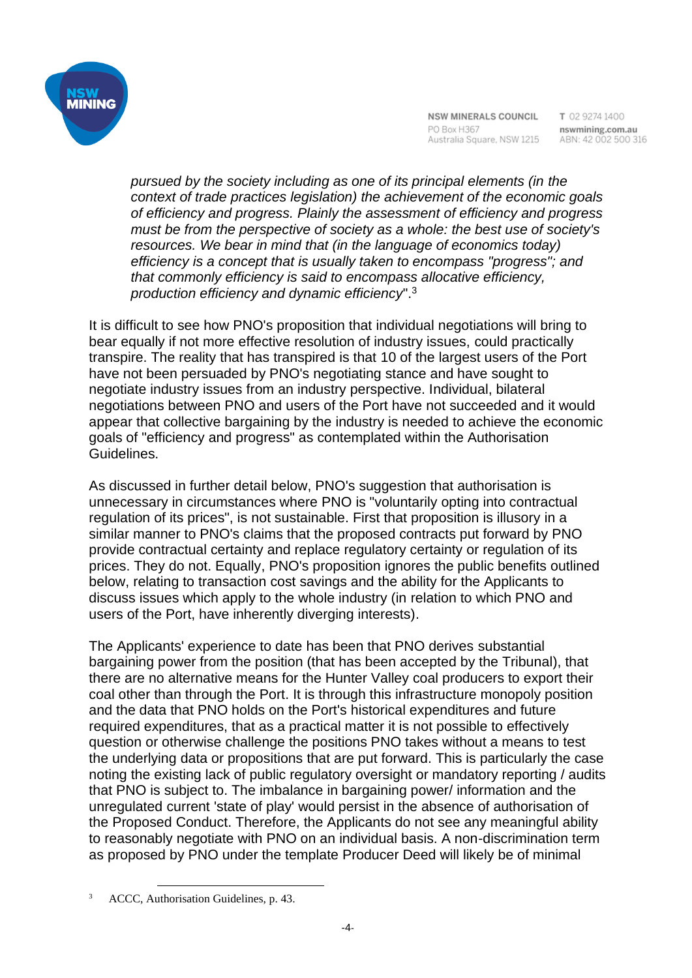

*pursued by the society including as one of its principal elements (in the context of trade practices legislation) the achievement of the economic goals of efficiency and progress. Plainly the assessment of efficiency and progress must be from the perspective of society as a whole: the best use of society's resources. We bear in mind that (in the language of economics today) efficiency is a concept that is usually taken to encompass "progress"; and that commonly efficiency is said to encompass allocative efficiency, production efficiency and dynamic efficiency*".<sup>3</sup>

It is difficult to see how PNO's proposition that individual negotiations will bring to bear equally if not more effective resolution of industry issues, could practically transpire. The reality that has transpired is that 10 of the largest users of the Port have not been persuaded by PNO's negotiating stance and have sought to negotiate industry issues from an industry perspective. Individual, bilateral negotiations between PNO and users of the Port have not succeeded and it would appear that collective bargaining by the industry is needed to achieve the economic goals of "efficiency and progress" as contemplated within the Authorisation Guidelines.

As discussed in further detail below, PNO's suggestion that authorisation is unnecessary in circumstances where PNO is "voluntarily opting into contractual regulation of its prices", is not sustainable. First that proposition is illusory in a similar manner to PNO's claims that the proposed contracts put forward by PNO provide contractual certainty and replace regulatory certainty or regulation of its prices. They do not. Equally, PNO's proposition ignores the public benefits outlined below, relating to transaction cost savings and the ability for the Applicants to discuss issues which apply to the whole industry (in relation to which PNO and users of the Port, have inherently diverging interests).

The Applicants' experience to date has been that PNO derives substantial bargaining power from the position (that has been accepted by the Tribunal), that there are no alternative means for the Hunter Valley coal producers to export their coal other than through the Port. It is through this infrastructure monopoly position and the data that PNO holds on the Port's historical expenditures and future required expenditures, that as a practical matter it is not possible to effectively question or otherwise challenge the positions PNO takes without a means to test the underlying data or propositions that are put forward. This is particularly the case noting the existing lack of public regulatory oversight or mandatory reporting / audits that PNO is subject to. The imbalance in bargaining power/ information and the unregulated current 'state of play' would persist in the absence of authorisation of the Proposed Conduct. Therefore, the Applicants do not see any meaningful ability to reasonably negotiate with PNO on an individual basis. A non-discrimination term as proposed by PNO under the template Producer Deed will likely be of minimal

<sup>3</sup> ACCC, Authorisation Guidelines, p. 43.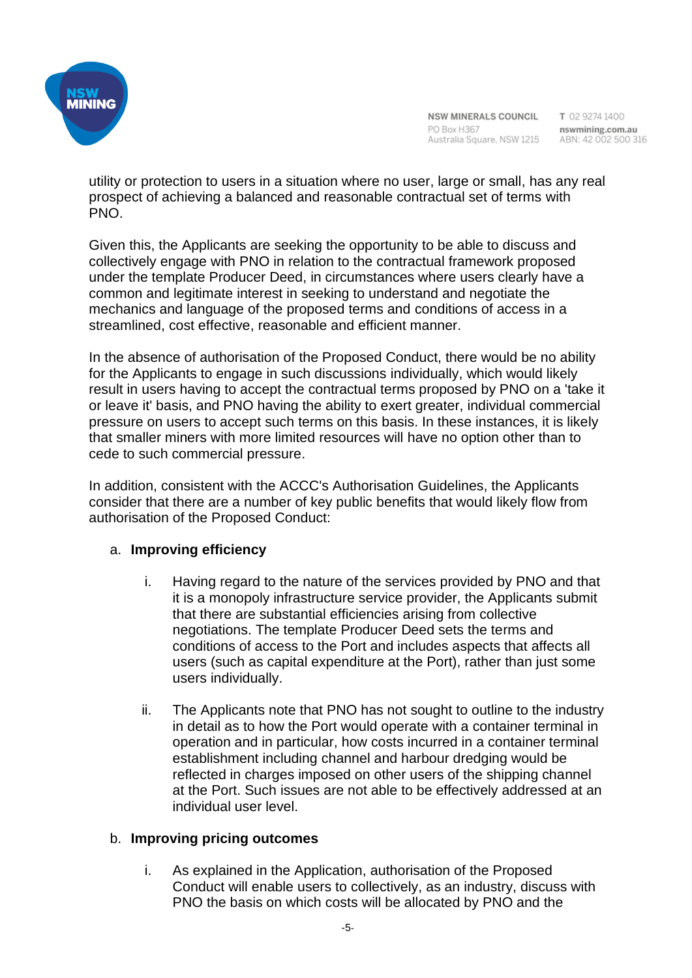

utility or protection to users in a situation where no user, large or small, has any real prospect of achieving a balanced and reasonable contractual set of terms with PNO.

Given this, the Applicants are seeking the opportunity to be able to discuss and collectively engage with PNO in relation to the contractual framework proposed under the template Producer Deed, in circumstances where users clearly have a common and legitimate interest in seeking to understand and negotiate the mechanics and language of the proposed terms and conditions of access in a streamlined, cost effective, reasonable and efficient manner.

In the absence of authorisation of the Proposed Conduct, there would be no ability for the Applicants to engage in such discussions individually, which would likely result in users having to accept the contractual terms proposed by PNO on a 'take it or leave it' basis, and PNO having the ability to exert greater, individual commercial pressure on users to accept such terms on this basis. In these instances, it is likely that smaller miners with more limited resources will have no option other than to cede to such commercial pressure.

In addition, consistent with the ACCC's Authorisation Guidelines, the Applicants consider that there are a number of key public benefits that would likely flow from authorisation of the Proposed Conduct:

### a. **Improving efficiency**

- i. Having regard to the nature of the services provided by PNO and that it is a monopoly infrastructure service provider, the Applicants submit that there are substantial efficiencies arising from collective negotiations. The template Producer Deed sets the terms and conditions of access to the Port and includes aspects that affects all users (such as capital expenditure at the Port), rather than just some users individually.
- ii. The Applicants note that PNO has not sought to outline to the industry in detail as to how the Port would operate with a container terminal in operation and in particular, how costs incurred in a container terminal establishment including channel and harbour dredging would be reflected in charges imposed on other users of the shipping channel at the Port. Such issues are not able to be effectively addressed at an individual user level.

### b. **Improving pricing outcomes**

i. As explained in the Application, authorisation of the Proposed Conduct will enable users to collectively, as an industry, discuss with PNO the basis on which costs will be allocated by PNO and the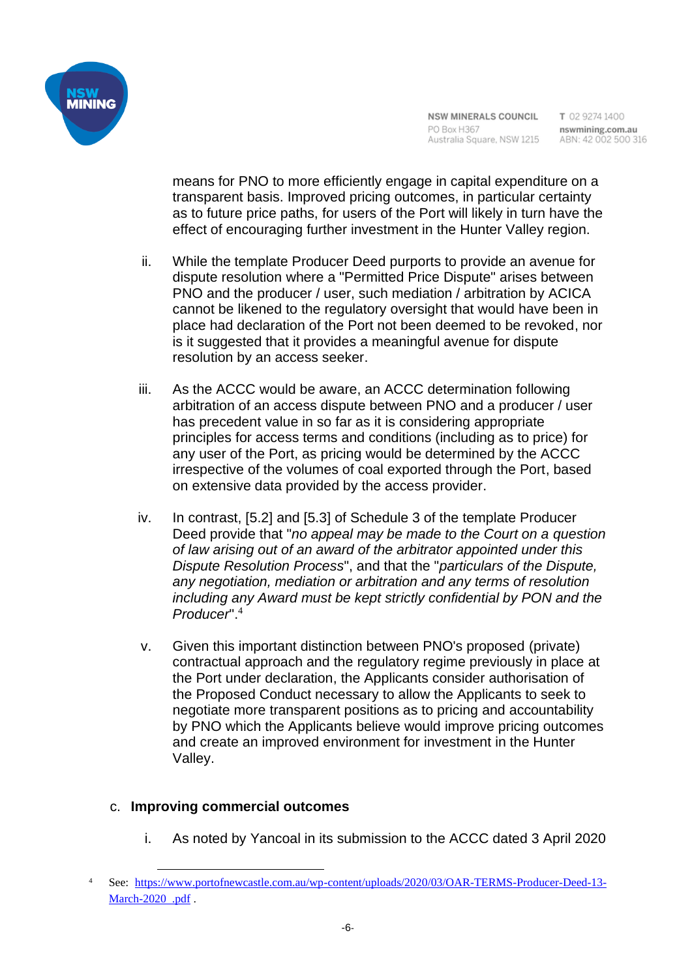

means for PNO to more efficiently engage in capital expenditure on a transparent basis. Improved pricing outcomes, in particular certainty as to future price paths, for users of the Port will likely in turn have the effect of encouraging further investment in the Hunter Valley region.

- ii. While the template Producer Deed purports to provide an avenue for dispute resolution where a "Permitted Price Dispute" arises between PNO and the producer / user, such mediation / arbitration by ACICA cannot be likened to the regulatory oversight that would have been in place had declaration of the Port not been deemed to be revoked, nor is it suggested that it provides a meaningful avenue for dispute resolution by an access seeker.
- iii. As the ACCC would be aware, an ACCC determination following arbitration of an access dispute between PNO and a producer / user has precedent value in so far as it is considering appropriate principles for access terms and conditions (including as to price) for any user of the Port, as pricing would be determined by the ACCC irrespective of the volumes of coal exported through the Port, based on extensive data provided by the access provider.
- iv. In contrast, [5.2] and [5.3] of Schedule 3 of the template Producer Deed provide that "*no appeal may be made to the Court on a question of law arising out of an award of the arbitrator appointed under this Dispute Resolution Process*", and that the "*particulars of the Dispute, any negotiation, mediation or arbitration and any terms of resolution including any Award must be kept strictly confidential by PON and the Producer*". 4
- v. Given this important distinction between PNO's proposed (private) contractual approach and the regulatory regime previously in place at the Port under declaration, the Applicants consider authorisation of the Proposed Conduct necessary to allow the Applicants to seek to negotiate more transparent positions as to pricing and accountability by PNO which the Applicants believe would improve pricing outcomes and create an improved environment for investment in the Hunter Valley.

### c. **Improving commercial outcomes**

i. As noted by Yancoal in its submission to the ACCC dated 3 April 2020

<sup>4</sup> See: https://www.portofnewcastle.com.au/wp-content/uploads/2020/03/OAR-TERMS-Producer-Deed-13- March-2020 .pdf .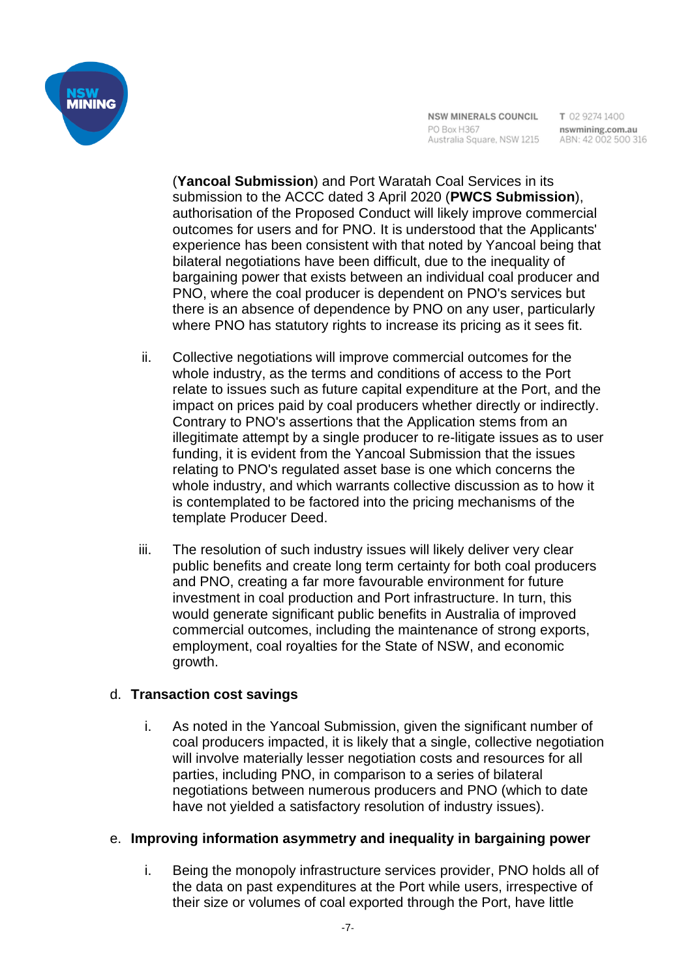

(**Yancoal Submission**) and Port Waratah Coal Services in its submission to the ACCC dated 3 April 2020 (**PWCS Submission**), authorisation of the Proposed Conduct will likely improve commercial outcomes for users and for PNO. It is understood that the Applicants' experience has been consistent with that noted by Yancoal being that bilateral negotiations have been difficult, due to the inequality of bargaining power that exists between an individual coal producer and PNO, where the coal producer is dependent on PNO's services but there is an absence of dependence by PNO on any user, particularly where PNO has statutory rights to increase its pricing as it sees fit.

- ii. Collective negotiations will improve commercial outcomes for the whole industry, as the terms and conditions of access to the Port relate to issues such as future capital expenditure at the Port, and the impact on prices paid by coal producers whether directly or indirectly. Contrary to PNO's assertions that the Application stems from an illegitimate attempt by a single producer to re-litigate issues as to user funding, it is evident from the Yancoal Submission that the issues relating to PNO's regulated asset base is one which concerns the whole industry, and which warrants collective discussion as to how it is contemplated to be factored into the pricing mechanisms of the template Producer Deed.
- iii. The resolution of such industry issues will likely deliver very clear public benefits and create long term certainty for both coal producers and PNO, creating a far more favourable environment for future investment in coal production and Port infrastructure. In turn, this would generate significant public benefits in Australia of improved commercial outcomes, including the maintenance of strong exports, employment, coal royalties for the State of NSW, and economic growth.

### d. **Transaction cost savings**

i. As noted in the Yancoal Submission, given the significant number of coal producers impacted, it is likely that a single, collective negotiation will involve materially lesser negotiation costs and resources for all parties, including PNO, in comparison to a series of bilateral negotiations between numerous producers and PNO (which to date have not yielded a satisfactory resolution of industry issues).

### e. **Improving information asymmetry and inequality in bargaining power**

i. Being the monopoly infrastructure services provider, PNO holds all of the data on past expenditures at the Port while users, irrespective of their size or volumes of coal exported through the Port, have little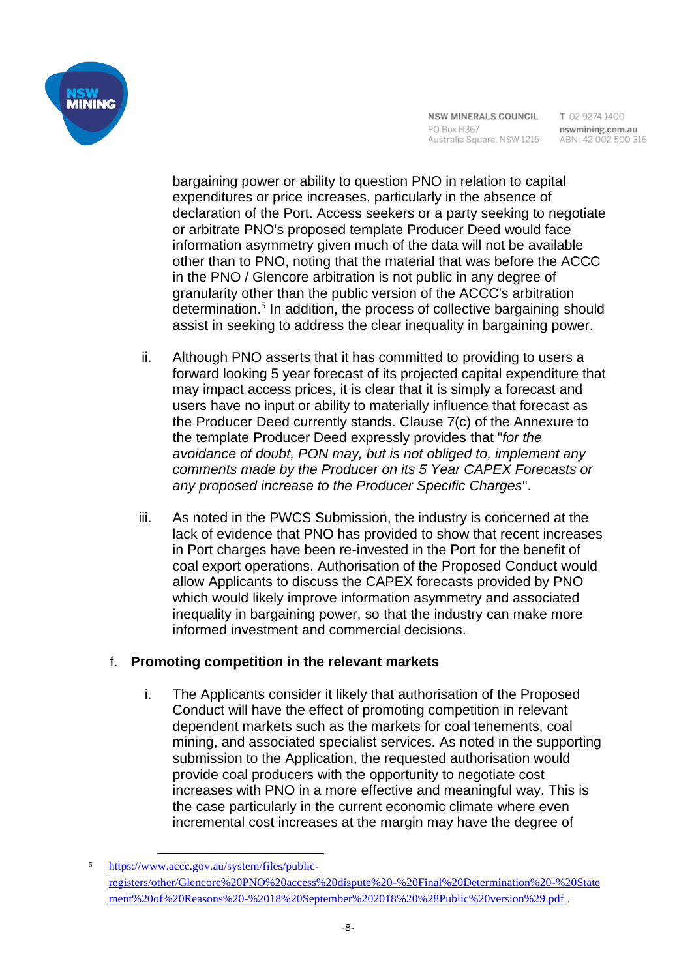

bargaining power or ability to question PNO in relation to capital expenditures or price increases, particularly in the absence of declaration of the Port. Access seekers or a party seeking to negotiate or arbitrate PNO's proposed template Producer Deed would face information asymmetry given much of the data will not be available other than to PNO, noting that the material that was before the ACCC in the PNO / Glencore arbitration is not public in any degree of granularity other than the public version of the ACCC's arbitration determination.<sup>5</sup> In addition, the process of collective bargaining should assist in seeking to address the clear inequality in bargaining power.

- ii. Although PNO asserts that it has committed to providing to users a forward looking 5 year forecast of its projected capital expenditure that may impact access prices, it is clear that it is simply a forecast and users have no input or ability to materially influence that forecast as the Producer Deed currently stands. Clause 7(c) of the Annexure to the template Producer Deed expressly provides that "*for the avoidance of doubt, PON may, but is not obliged to, implement any comments made by the Producer on its 5 Year CAPEX Forecasts or any proposed increase to the Producer Specific Charges*".
- iii. As noted in the PWCS Submission, the industry is concerned at the lack of evidence that PNO has provided to show that recent increases in Port charges have been re-invested in the Port for the benefit of coal export operations. Authorisation of the Proposed Conduct would allow Applicants to discuss the CAPEX forecasts provided by PNO which would likely improve information asymmetry and associated inequality in bargaining power, so that the industry can make more informed investment and commercial decisions.

## f. **Promoting competition in the relevant markets**

i. The Applicants consider it likely that authorisation of the Proposed Conduct will have the effect of promoting competition in relevant dependent markets such as the markets for coal tenements, coal mining, and associated specialist services. As noted in the supporting submission to the Application, the requested authorisation would provide coal producers with the opportunity to negotiate cost increases with PNO in a more effective and meaningful way. This is the case particularly in the current economic climate where even incremental cost increases at the margin may have the degree of

https://www.accc.gov.au/system/files/publicregisters/other/Glencore%20PNO%20access%20dispute%20-%20Final%20Determination%20-%20State ment%20of%20Reasons%20-%2018%20September%202018%20%28Public%20version%29.pdf .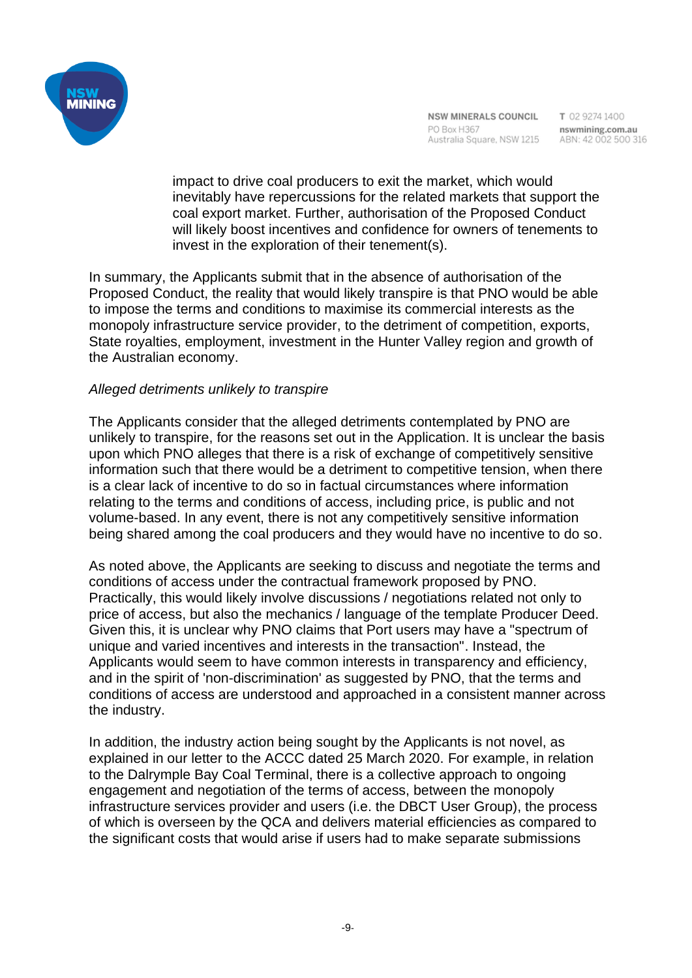

T 02 9274 1400

impact to drive coal producers to exit the market, which would inevitably have repercussions for the related markets that support the coal export market. Further, authorisation of the Proposed Conduct will likely boost incentives and confidence for owners of tenements to invest in the exploration of their tenement(s).

In summary, the Applicants submit that in the absence of authorisation of the Proposed Conduct, the reality that would likely transpire is that PNO would be able to impose the terms and conditions to maximise its commercial interests as the monopoly infrastructure service provider, to the detriment of competition, exports, State royalties, employment, investment in the Hunter Valley region and growth of the Australian economy.

#### *Alleged detriments unlikely to transpire*

The Applicants consider that the alleged detriments contemplated by PNO are unlikely to transpire, for the reasons set out in the Application. It is unclear the basis upon which PNO alleges that there is a risk of exchange of competitively sensitive information such that there would be a detriment to competitive tension, when there is a clear lack of incentive to do so in factual circumstances where information relating to the terms and conditions of access, including price, is public and not volume-based. In any event, there is not any competitively sensitive information being shared among the coal producers and they would have no incentive to do so.

As noted above, the Applicants are seeking to discuss and negotiate the terms and conditions of access under the contractual framework proposed by PNO. Practically, this would likely involve discussions / negotiations related not only to price of access, but also the mechanics / language of the template Producer Deed. Given this, it is unclear why PNO claims that Port users may have a "spectrum of unique and varied incentives and interests in the transaction". Instead, the Applicants would seem to have common interests in transparency and efficiency, and in the spirit of 'non-discrimination' as suggested by PNO, that the terms and conditions of access are understood and approached in a consistent manner across the industry.

In addition, the industry action being sought by the Applicants is not novel, as explained in our letter to the ACCC dated 25 March 2020. For example, in relation to the Dalrymple Bay Coal Terminal, there is a collective approach to ongoing engagement and negotiation of the terms of access, between the monopoly infrastructure services provider and users (i.e. the DBCT User Group), the process of which is overseen by the QCA and delivers material efficiencies as compared to the significant costs that would arise if users had to make separate submissions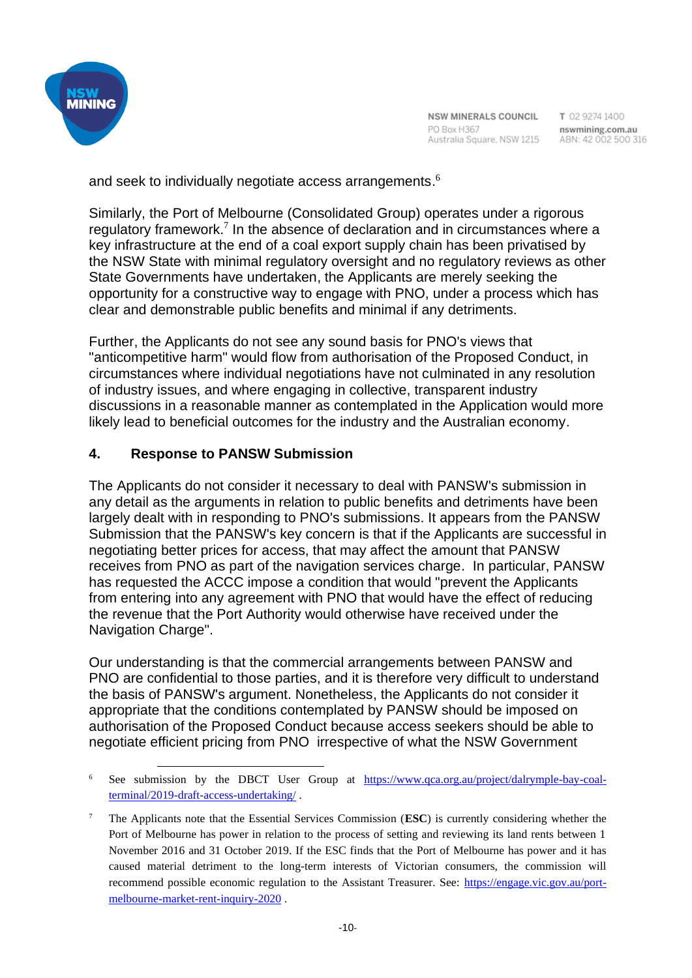

and seek to individually negotiate access arrangements.<sup>6</sup>

Similarly, the Port of Melbourne (Consolidated Group) operates under a rigorous regulatory framework.<sup>7</sup> In the absence of declaration and in circumstances where a key infrastructure at the end of a coal export supply chain has been privatised by the NSW State with minimal regulatory oversight and no regulatory reviews as other State Governments have undertaken, the Applicants are merely seeking the opportunity for a constructive way to engage with PNO, under a process which has clear and demonstrable public benefits and minimal if any detriments.

Further, the Applicants do not see any sound basis for PNO's views that "anticompetitive harm" would flow from authorisation of the Proposed Conduct, in circumstances where individual negotiations have not culminated in any resolution of industry issues, and where engaging in collective, transparent industry discussions in a reasonable manner as contemplated in the Application would more likely lead to beneficial outcomes for the industry and the Australian economy.

### **4. Response to PANSW Submission**

The Applicants do not consider it necessary to deal with PANSW's submission in any detail as the arguments in relation to public benefits and detriments have been largely dealt with in responding to PNO's submissions. It appears from the PANSW Submission that the PANSW's key concern is that if the Applicants are successful in negotiating better prices for access, that may affect the amount that PANSW receives from PNO as part of the navigation services charge. In particular, PANSW has requested the ACCC impose a condition that would "prevent the Applicants from entering into any agreement with PNO that would have the effect of reducing the revenue that the Port Authority would otherwise have received under the Navigation Charge".

Our understanding is that the commercial arrangements between PANSW and PNO are confidential to those parties, and it is therefore very difficult to understand the basis of PANSW's argument. Nonetheless, the Applicants do not consider it appropriate that the conditions contemplated by PANSW should be imposed on authorisation of the Proposed Conduct because access seekers should be able to negotiate efficient pricing from PNO irrespective of what the NSW Government

<sup>6</sup> See submission by the DBCT User Group at https://www.qca.org.au/project/dalrymple-bay-coalterminal/2019-draft-access-undertaking/ .

<sup>7</sup> The Applicants note that the Essential Services Commission (**ESC**) is currently considering whether the Port of Melbourne has power in relation to the process of setting and reviewing its land rents between 1 November 2016 and 31 October 2019. If the ESC finds that the Port of Melbourne has power and it has caused material detriment to the long-term interests of Victorian consumers, the commission will recommend possible economic regulation to the Assistant Treasurer. See: https://engage.vic.gov.au/portmelbourne-market-rent-inquiry-2020 .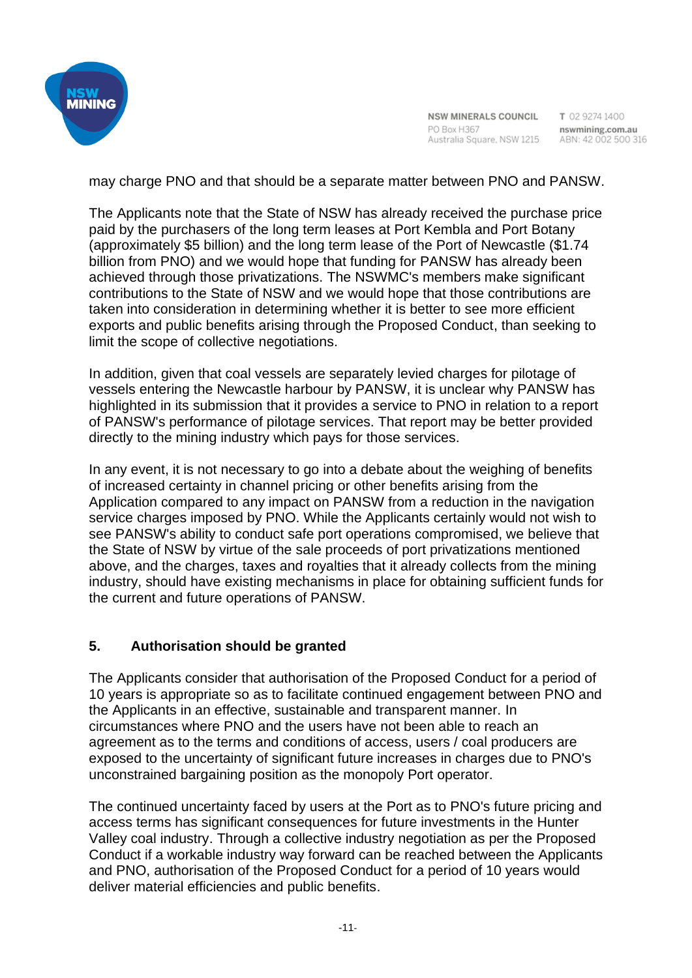

NSW MINERALS COUNCIL PO Box H367 Australia Square, NSW 1215 ABN: 42 002 500 316

T 02 9274 1400 nswmining.com.au

may charge PNO and that should be a separate matter between PNO and PANSW.

The Applicants note that the State of NSW has already received the purchase price paid by the purchasers of the long term leases at Port Kembla and Port Botany (approximately \$5 billion) and the long term lease of the Port of Newcastle (\$1.74 billion from PNO) and we would hope that funding for PANSW has already been achieved through those privatizations. The NSWMC's members make significant contributions to the State of NSW and we would hope that those contributions are taken into consideration in determining whether it is better to see more efficient exports and public benefits arising through the Proposed Conduct, than seeking to limit the scope of collective negotiations.

In addition, given that coal vessels are separately levied charges for pilotage of vessels entering the Newcastle harbour by PANSW, it is unclear why PANSW has highlighted in its submission that it provides a service to PNO in relation to a report of PANSW's performance of pilotage services. That report may be better provided directly to the mining industry which pays for those services.

In any event, it is not necessary to go into a debate about the weighing of benefits of increased certainty in channel pricing or other benefits arising from the Application compared to any impact on PANSW from a reduction in the navigation service charges imposed by PNO. While the Applicants certainly would not wish to see PANSW's ability to conduct safe port operations compromised, we believe that the State of NSW by virtue of the sale proceeds of port privatizations mentioned above, and the charges, taxes and royalties that it already collects from the mining industry, should have existing mechanisms in place for obtaining sufficient funds for the current and future operations of PANSW.

### **5. Authorisation should be granted**

The Applicants consider that authorisation of the Proposed Conduct for a period of 10 years is appropriate so as to facilitate continued engagement between PNO and the Applicants in an effective, sustainable and transparent manner. In circumstances where PNO and the users have not been able to reach an agreement as to the terms and conditions of access, users / coal producers are exposed to the uncertainty of significant future increases in charges due to PNO's unconstrained bargaining position as the monopoly Port operator.

The continued uncertainty faced by users at the Port as to PNO's future pricing and access terms has significant consequences for future investments in the Hunter Valley coal industry. Through a collective industry negotiation as per the Proposed Conduct if a workable industry way forward can be reached between the Applicants and PNO, authorisation of the Proposed Conduct for a period of 10 years would deliver material efficiencies and public benefits.